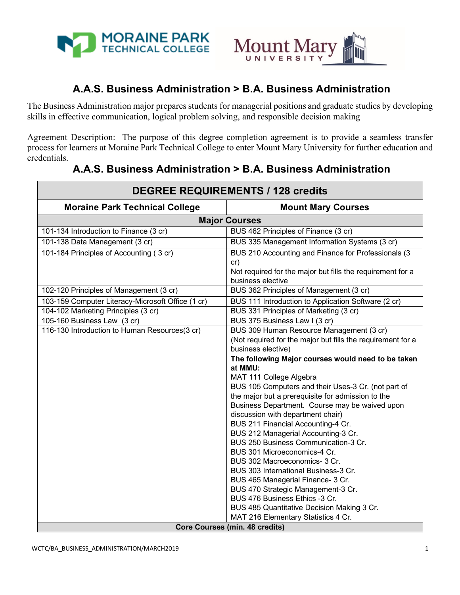

П



# **A.A.S. Business Administration > B.A. Business Administration**

The Business Administration major prepares students for managerial positions and graduate studies by developing skills in effective communication, logical problem solving, and responsible decision making

Agreement Description: The purpose of this degree completion agreement is to provide a seamless transfer process for learners at Moraine Park Technical College to enter Mount Mary University for further education and credentials.

| <b>DEGREE REQUIREMENTS / 128 credits</b>                                     |                                                                              |
|------------------------------------------------------------------------------|------------------------------------------------------------------------------|
| <b>Moraine Park Technical College</b>                                        | <b>Mount Mary Courses</b>                                                    |
| <b>Major Courses</b>                                                         |                                                                              |
| 101-134 Introduction to Finance (3 cr)                                       | BUS 462 Principles of Finance (3 cr)                                         |
| 101-138 Data Management (3 cr)                                               | BUS 335 Management Information Systems (3 cr)                                |
| 101-184 Principles of Accounting (3 cr)                                      | BUS 210 Accounting and Finance for Professionals (3)                         |
|                                                                              | cr)                                                                          |
|                                                                              | Not required for the major but fills the requirement for a                   |
|                                                                              | business elective                                                            |
| 102-120 Principles of Management (3 cr)                                      | BUS 362 Principles of Management (3 cr)                                      |
| 103-159 Computer Literacy-Microsoft Office (1 cr)                            | BUS 111 Introduction to Application Software (2 cr)                          |
| 104-102 Marketing Principles (3 cr)                                          | BUS 331 Principles of Marketing (3 cr)                                       |
| 105-160 Business Law (3 cr)<br>116-130 Introduction to Human Resources(3 cr) | BUS 375 Business Law I (3 cr)<br>BUS 309 Human Resource Management (3 cr)    |
|                                                                              | (Not required for the major but fills the requirement for a                  |
|                                                                              | business elective)                                                           |
|                                                                              | The following Major courses would need to be taken                           |
|                                                                              | at MMU:                                                                      |
|                                                                              | MAT 111 College Algebra                                                      |
|                                                                              | BUS 105 Computers and their Uses-3 Cr. (not part of                          |
|                                                                              | the major but a prerequisite for admission to the                            |
|                                                                              | Business Department. Course may be waived upon                               |
|                                                                              | discussion with department chair)<br>BUS 211 Financial Accounting-4 Cr.      |
|                                                                              | BUS 212 Managerial Accounting-3 Cr.                                          |
|                                                                              | BUS 250 Business Communication-3 Cr.                                         |
|                                                                              | BUS 301 Microeconomics-4 Cr.                                                 |
|                                                                              | BUS 302 Macroeconomics- 3 Cr.                                                |
|                                                                              | BUS 303 International Business-3 Cr.                                         |
|                                                                              | BUS 465 Managerial Finance- 3 Cr.                                            |
|                                                                              | BUS 470 Strategic Management-3 Cr.                                           |
|                                                                              | BUS 476 Business Ethics -3 Cr.                                               |
|                                                                              | BUS 485 Quantitative Decision Making 3 Cr.                                   |
|                                                                              | MAT 216 Elementary Statistics 4 Cr.<br><b>Core Courses (min. 48 credits)</b> |
|                                                                              |                                                                              |

## **A.A.S. Business Administration > B.A. Business Administration**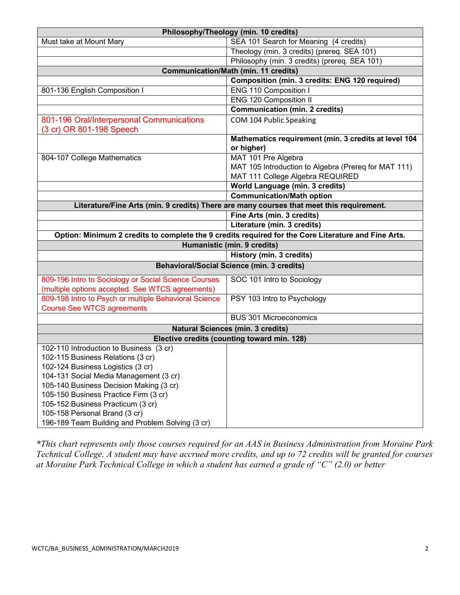| Philosophy/Theology (min. 10 credits)                                                               |                                                                    |
|-----------------------------------------------------------------------------------------------------|--------------------------------------------------------------------|
| Must take at Mount Mary                                                                             | SEA 101 Search for Meaning (4 credits)                             |
|                                                                                                     | Theology (min. 3 credits) (prereq. SEA 101)                        |
|                                                                                                     | Philosophy (min. 3 credits) (prereq. SEA 101)                      |
| <b>Communication/Math (min. 11 credits)</b>                                                         |                                                                    |
|                                                                                                     | Composition (min. 3 credits: ENG 120 required)                     |
| 801-136 English Composition I                                                                       | ENG 110 Composition I                                              |
|                                                                                                     | <b>ENG 120 Composition II</b>                                      |
|                                                                                                     | <b>Communication (min. 2 credits)</b>                              |
| 801-196 Oral/Interpersonal Communications<br>(3 cr) OR 801-198 Speech                               | COM 104 Public Speaking                                            |
|                                                                                                     | Mathematics requirement (min. 3 credits at level 104<br>or higher) |
| 804-107 College Mathematics                                                                         | MAT 101 Pre Algebra                                                |
|                                                                                                     | MAT 105 Introduction to Algebra (Prereq for MAT 111)               |
|                                                                                                     | MAT 111 College Algebra REQUIRED                                   |
|                                                                                                     | World Language (min. 3 credits)                                    |
|                                                                                                     | <b>Communication/Math option</b>                                   |
| Literature/Fine Arts (min. 9 credits) There are many courses that meet this requirement.            |                                                                    |
|                                                                                                     | Fine Arts (min. 3 credits)                                         |
|                                                                                                     | Literature (min. 3 credits)                                        |
| Option: Minimum 2 credits to complete the 9 credits required for the Core Literature and Fine Arts. |                                                                    |
| Humanistic (min. 9 credits)                                                                         |                                                                    |
|                                                                                                     | <b>History (min. 3 credits)</b>                                    |
| <b>Behavioral/Social Science (min. 3 credits)</b>                                                   |                                                                    |
| 809-196 Intro to Sociology or Social Science Courses                                                | SOC 101 Intro to Sociology                                         |
| (multiple options accepted. See WTCS agreements)                                                    |                                                                    |
| 809-198 Intro to Psych or multiple Behavioral Science                                               | PSY 103 Intro to Psychology                                        |
| <b>Course See WTCS agreements</b>                                                                   |                                                                    |
|                                                                                                     | <b>BUS 301 Microeconomics</b>                                      |
| <b>Natural Sciences (min. 3 credits)</b>                                                            |                                                                    |
| Elective credits (counting toward min. 128)                                                         |                                                                    |
| 102-110 Introduction to Business (3 cr)                                                             |                                                                    |
| 102-115 Business Relations (3 cr)                                                                   |                                                                    |
| 102-124 Business Logistics (3 cr)                                                                   |                                                                    |
| 104-131 Social Media Management (3 cr)                                                              |                                                                    |
| 105-140 Business Decision Making (3 cr)                                                             |                                                                    |
| 105-150 Business Practice Firm (3 cr)                                                               |                                                                    |
| 105-152 Business Practicum (3 cr)                                                                   |                                                                    |
| 105-158 Personal Brand (3 cr)                                                                       |                                                                    |
| 196-189 Team Building and Problem Solving (3 cr)                                                    |                                                                    |

*\*This chart represents only those courses required for an AAS in Business Administration from Moraine Park Technical College. A student may have accrued more credits, and up to 72 credits will be granted for courses at Moraine Park Technical College in which a student has earned a grade of "C" (2.0) or better*